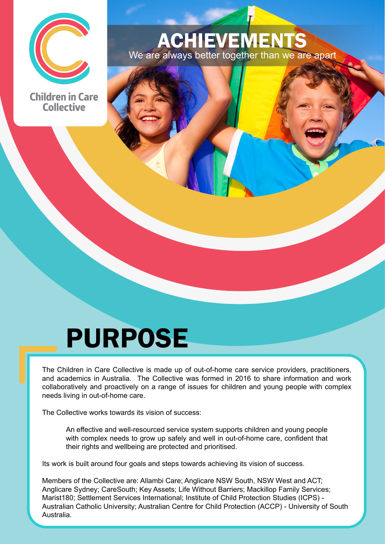

**Children in Care Collective** 

#### ACHIEVEMENTS We are always better together than we are apart

# PURPOSE

The Children in Care Collective is made up of out-of-home care service providers, practitioners, and academics in Australia. The Collective was formed in 2016 to share information and work collaboratively and proactively on a range of issues for children and young people with complex needs living in out-of-home care.

The Collective works towards its vision of success:

An effective and well-resourced service system supports children and young people with complex needs to grow up safely and well in out-of-home care, confident that their rights and wellbeing are protected and prioritised.

Its work is built around four goals and steps towards achieving its vision of success.

Members of the Collective are: Allambi Care; Anglicare NSW South, NSW West and ACT; Anglicare Sydney; CareSouth; Key Assets; Life Without Barriers; Mackillop Family Services; Marist180; Settlement Services International; Institute of Child Protection Studies (ICPS) - Australian Catholic University; Australian Centre for Child Protection (ACCP) - University of South Australia.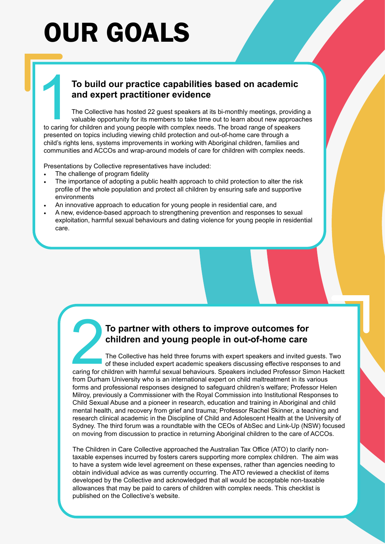# OUR GOALS

#### 1**To build our practice capabilities based on academic and expert practitioner evidence**

The Collective has hosted 22 guest speakers at its bi-monthly meetings, providing a valuable opportunity for its members to take time out to learn about new approaches to caring for children and young people with complex needs. The broad range of speakers presented on topics including viewing child protection and out-of-home care through a child's rights lens, systems improvements in working with Aboriginal children, families and communities and ACCOs and wrap-around models of care for children with complex needs.

Presentations by Collective representatives have included:

- The challenge of program fidelity
- The importance of adopting a public health approach to child protection to alter the risk profile of the whole population and protect all children by ensuring safe and supportive environments
- An innovative approach to education for young people in residential care, and
- A new, evidence-based approach to strengthening prevention and responses to sexual exploitation, harmful sexual behaviours and dating violence for young people in residential care.

#### 2**To partner with others to improve outcomes for children and young people in out-of-home care**

The Collective has held three forums with expert speakers and invited guests. Two of these included expert academic speakers discussing effective responses to and caring for children with harmful sexual behaviours. Speakers included Professor Simon Hackett from Durham University who is an international expert on child maltreatment in its various forms and professional responses designed to safeguard children's welfare; Professor Helen Milroy, previously a Commissioner with the Royal Commission into Institutional Responses to Child Sexual Abuse and a pioneer in research, education and training in Aboriginal and child mental health, and recovery from grief and trauma; Professor Rachel Skinner, a teaching and research clinical academic in the Discipline of Child and Adolescent Health at the University of Sydney. The third forum was a roundtable with the CEOs of AbSec and Link-Up (NSW) focused on moving from discussion to practice in returning Aboriginal children to the care of ACCOs.

The Children in Care Collective approached the Australian Tax Office (ATO) to clarify nontaxable expenses incurred by fosters carers supporting more complex children. The aim was to have a system wide level agreement on these expenses, rather than agencies needing to obtain individual advice as was currently occurring. The ATO reviewed a checklist of items developed by the Collective and acknowledged that all would be acceptable non-taxable allowances that may be paid to carers of children with complex needs. This checklist is published on the Collective's website.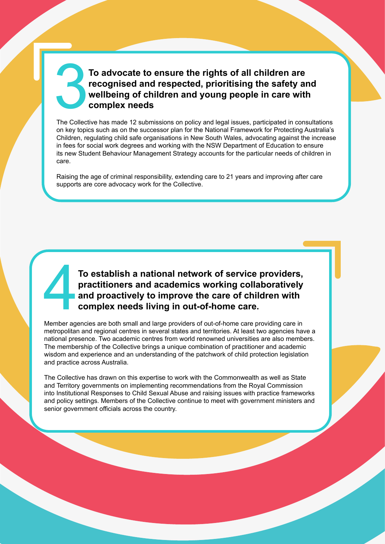#### To advocate to ensure the rights of all children are<br>recognised and respected, prioritising the safety and<br>wellbeing of children and young people in care with<br>complex needs **recognised and respected, prioritising the safety and wellbeing of children and young people in care with complex needs**

The Collective has made 12 submissions on policy and legal issues, participated in consultations on key topics such as on the successor plan for the National Framework for Protecting Australia's Children, regulating child safe organisations in New South Wales, advocating against the increase in fees for social work degrees and working with the NSW Department of Education to ensure its new Student Behaviour Management Strategy accounts for the particular needs of children in care.

Raising the age of criminal responsibility, extending care to 21 years and improving after care supports are core advocacy work for the Collective.

#### To establish a national network of service providers,<br>practitioners and academics working collaboratively<br>and proactively to improve the care of children with<br>complex needs living in out-of-home care.<br>Member agencies are b **practitioners and academics working collaboratively and proactively to improve the care of children with complex needs living in out-of-home care.**

Member agencies are both small and large providers of out-of-home care providing care in metropolitan and regional centres in several states and territories. At least two agencies have a national presence. Two academic centres from world renowned universities are also members. The membership of the Collective brings a unique combination of practitioner and academic wisdom and experience and an understanding of the patchwork of child protection legislation and practice across Australia.

The Collective has drawn on this expertise to work with the Commonwealth as well as State and Territory governments on implementing recommendations from the Royal Commission into Institutional Responses to Child Sexual Abuse and raising issues with practice frameworks and policy settings. Members of the Collective continue to meet with government ministers and senior government officials across the country.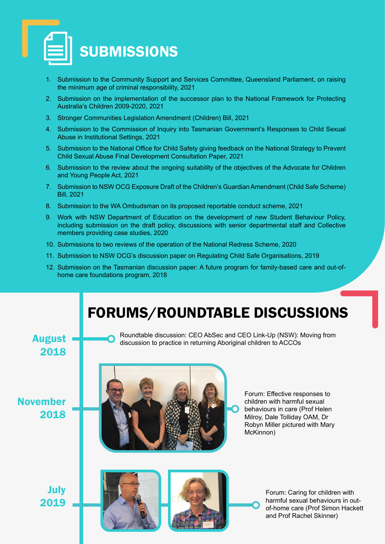

- 1. Submission to the Community Support and Services Committee, Queensland Parliament, on raising the minimum age of criminal responsibility, 2021
- 2. Submission on the implementation of the successor plan to the National Framework for Protecting Australia's Children 2009-2020, 2021
- 3. Stronger Communities Legislation Amendment (Children) Bill, 2021
- 4. Submission to the Commission of Inquiry into Tasmanian Government's Responses to Child Sexual Abuse in Institutional Settings, 2021
- 5. Submission to the National Office for Child Safety giving feedback on the National Strategy to Prevent Child Sexual Abuse Final Development Consultation Paper, 2021
- 6. Submission to the review about the ongoing suitability of the objectives of the Advocate for Children and Young People Act, 2021
- 7. Submission to NSW OCG Exposure Draft of the Children's Guardian Amendment (Child Safe Scheme) Bill, 2021
- 8. Submission to the WA Ombudsman on its proposed reportable conduct scheme, 2021
- 9. Work with NSW Department of Education on the development of new Student Behaviour Policy, including submission on the draft policy, discussions with senior departmental staff and Collective members providing case studies, 2020
- 10. Submissions to two reviews of the operation of the National Redress Scheme, 2020
- 11. Submission to NSW OCG's discussion paper on Regulating Child Safe Organisations, 2019
- 12. Submission on the Tasmanian discussion paper: A future program for family-based care and out-ofhome care foundations program, 2018

## FORUMS/ROUNDTABLE DISCUSSIONS

November

2018

August 2018





Forum: Effective responses to children with harmful sexual behaviours in care (Prof Helen Milroy, Dale Tolliday OAM, Dr Robyn Miller pictured with Mary McKinnon)



Forum: Caring for children with harmful sexual behaviours in outof-home care (Prof Simon Hackett and Prof Rachel Skinner)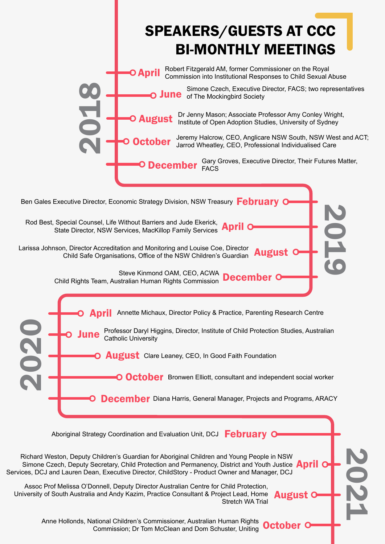

Commission; Dr Tom McClean and Dom Schuster, Uniting October O